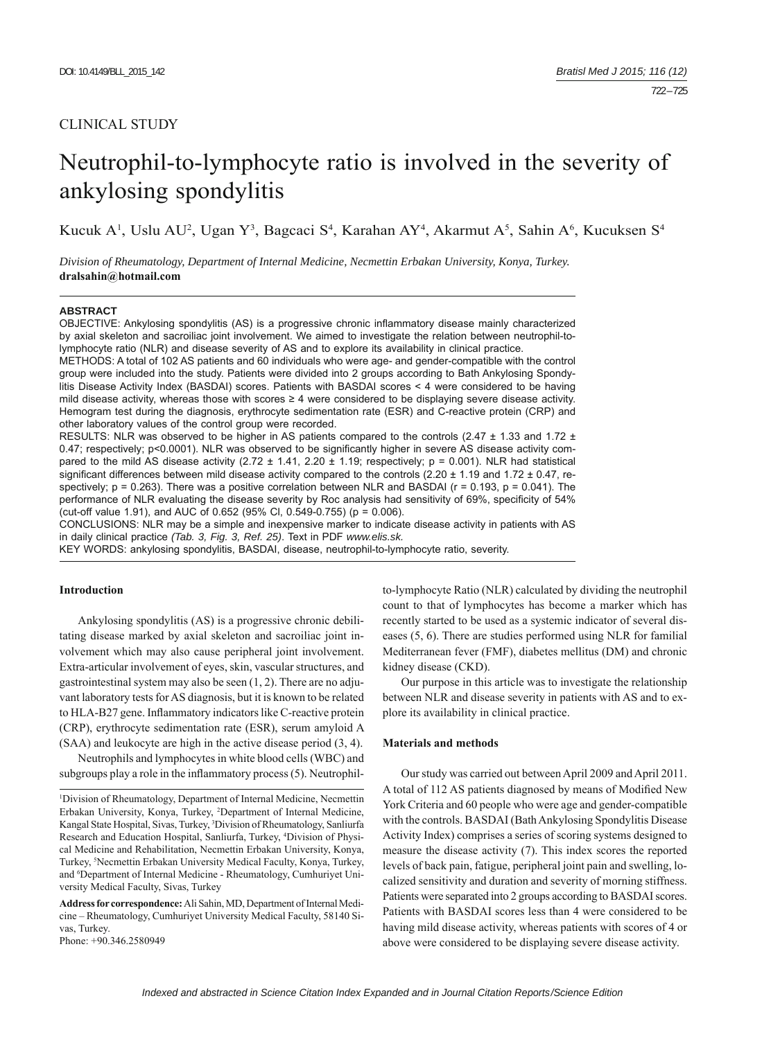# CLINICAL STUDY

# Neutrophil-to-lymphocyte ratio is involved in the severity of ankylosing spondylitis

Kucuk A<sup>1</sup>, Uslu AU<sup>2</sup>, Ugan Y<sup>3</sup>, Bagcaci S<sup>4</sup>, Karahan AY<sup>4</sup>, Akarmut A<sup>5</sup>, Sahin A<sup>6</sup>, Kucuksen S<sup>4</sup>

*Division of Rheumatology, Department of Internal Medicine, Necmettin Erbakan University, Konya, Turkey.*  **dralsahin@hotmail.com**

#### **ABSTRACT**

OBJECTIVE: Ankylosing spondylitis (AS) is a progressive chronic inflammatory disease mainly characterized by axial skeleton and sacroiliac joint involvement. We aimed to investigate the relation between neutrophil-tolymphocyte ratio (NLR) and disease severity of AS and to explore its availability in clinical practice.

METHODS: A total of 102 AS patients and 60 individuals who were age- and gender-compatible with the control group were included into the study. Patients were divided into 2 groups according to Bath Ankylosing Spondylitis Disease Activity Index (BASDAI) scores. Patients with BASDAI scores < 4 were considered to be having mild disease activity, whereas those with scores ≥ 4 were considered to be displaying severe disease activity. Hemogram test during the diagnosis, erythrocyte sedimentation rate (ESR) and C-reactive protein (CRP) and other laboratory values of the control group were recorded.

RESULTS: NLR was observed to be higher in AS patients compared to the controls (2.47 ± 1.33 and 1.72 ± 0.47; respectively; p<0.0001). NLR was observed to be significantly higher in severe AS disease activity compared to the mild AS disease activity  $(2.72 \pm 1.41, 2.20 \pm 1.19)$ ; respectively;  $p = 0.001$ ). NLR had statistical significant differences between mild disease activity compared to the controls (2.20  $\pm$  1.19 and 1.72  $\pm$  0.47, respectively;  $p = 0.263$ ). There was a positive correlation between NLR and BASDAI ( $r = 0.193$ ,  $p = 0.041$ ). The performance of NLR evaluating the disease severity by Roc analysis had sensitivity of 69%, specificity of 54% (cut-off value 1.91), and AUC of 0.652 (95% Cl, 0.549-0.755) ( $p = 0.006$ ).

CONCLUSIONS: NLR may be a simple and inexpensive marker to indicate disease activity in patients with AS in daily clinical practice *(Tab. 3, Fig. 3, Ref. 25)*. Text in PDF *www.elis.sk.*

KEY WORDS: ankylosing spondylitis, BASDAI, disease, neutrophil-to-lymphocyte ratio, severity.

## **Introduction**

Ankylosing spondylitis (AS) is a progressive chronic debilitating disease marked by axial skeleton and sacroiliac joint involvement which may also cause peripheral joint involvement. Extra-articular involvement of eyes, skin, vascular structures, and gastrointestinal system may also be seen (1, 2). There are no adjuvant laboratory tests for AS diagnosis, but it is known to be related to HLA-B27 gene. Inflammatory indicators like C-reactive protein (CRP), erythrocyte sedimentation rate (ESR), serum amyloid A (SAA) and leukocyte are high in the active disease period (3, 4).

Neutrophils and lymphocytes in white blood cells (WBC) and subgroups play a role in the inflammatory process (5). Neutrophil-

1 Division of Rheumatology, Department of Internal Medicine, Necmettin Erbakan University, Konya, Turkey, 2 Department of Internal Medicine, Kangal State Hospital, Sivas, Turkey, 3 Division of Rheumatology, Sanliurfa Research and Education Hospital, Sanliurfa, Turkey, 4 Division of Physical Medicine and Rehabilitation, Necmettin Erbakan University, Konya, Turkey, 5 Necmettin Erbakan University Medical Faculty, Konya, Turkey, and <sup>6</sup>Department of Internal Medicine - Rheumatology, Cumhuriyet University Medical Faculty, Sivas, Turkey

Address for correspondence: Ali Sahin, MD, Department of Internal Medicine – Rheumatology, Cumhuriyet University Medical Faculty, 58140 Sivas, Turkey.

Phone: +90.346.2580949

to-lymphocyte Ratio (NLR) calculated by dividing the neutrophil count to that of lymphocytes has become a marker which has recently started to be used as a systemic indicator of several diseases (5, 6). There are studies performed using NLR for familial Mediterranean fever (FMF), diabetes mellitus (DM) and chronic kidney disease (CKD).

Our purpose in this article was to investigate the relationship between NLR and disease severity in patients with AS and to explore its availability in clinical practice.

#### **Materials and methods**

Our study was carried out between April 2009 and April 2011. A total of 112 AS patients diagnosed by means of Modified New York Criteria and 60 people who were age and gender-compatible with the controls. BASDAI (Bath Ankylosing Spondylitis Disease Activity Index) comprises a series of scoring systems designed to measure the disease activity (7). This index scores the reported levels of back pain, fatigue, peripheral joint pain and swelling, localized sensitivity and duration and severity of morning stiffness. Patients were separated into 2 groups according to BASDAI scores. Patients with BASDAI scores less than 4 were considered to be having mild disease activity, whereas patients with scores of 4 or above were considered to be displaying severe disease activity.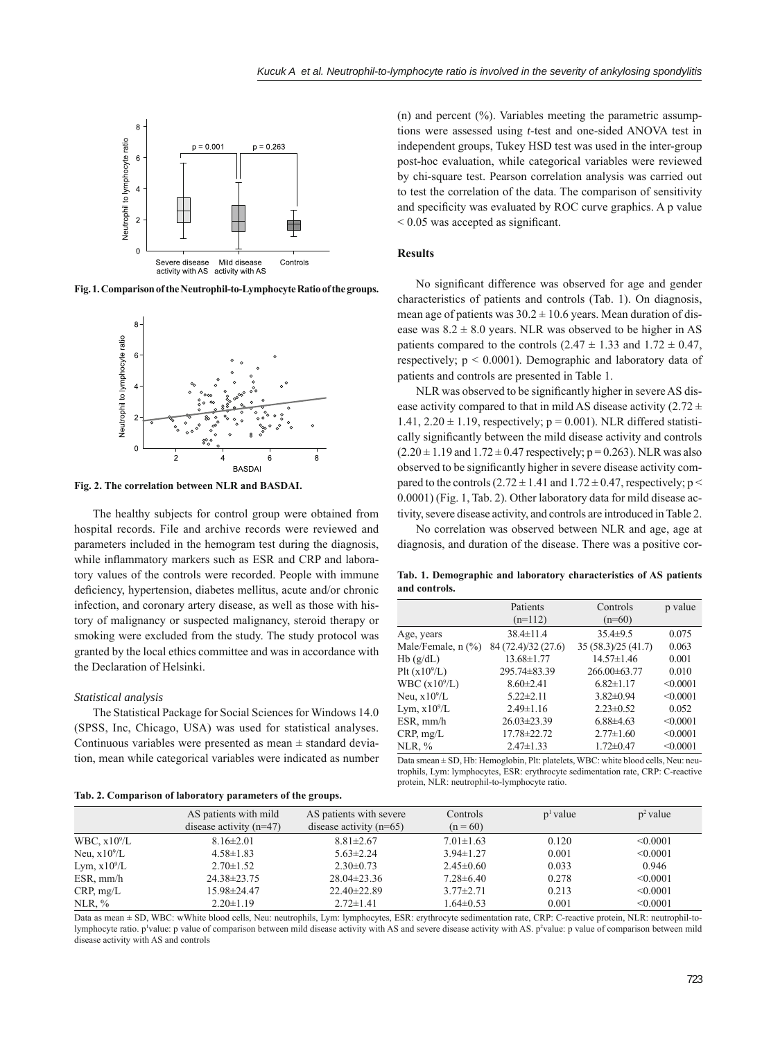

**Fig. 1. Comparison of the Neutrophil-to-Lymphocyte Ratio of the groups.**



**Fig. 2. The correlation between NLR and BASDAI.**

The healthy subjects for control group were obtained from hospital records. File and archive records were reviewed and parameters included in the hemogram test during the diagnosis, while inflammatory markers such as ESR and CRP and laboratory values of the controls were recorded. People with immune deficiency, hypertension, diabetes mellitus, acute and/or chronic infection, and coronary artery disease, as well as those with history of malignancy or suspected malignancy, steroid therapy or smoking were excluded from the study. The study protocol was granted by the local ethics committee and was in accordance with the Declaration of Helsinki.

#### *Statistical analysis*

The Statistical Package for Social Sciences for Windows 14.0 (SPSS, Inc, Chicago, USA) was used for statistical analyses. Continuous variables were presented as mean  $\pm$  standard deviation, mean while categorical variables were indicated as number

**Tab. 2. Comparison of laboratory parameters of the groups.**

(n) and percent (%). Variables meeting the parametric assumptions were assessed using *t*-test and one-sided ANOVA test in independent groups, Tukey HSD test was used in the inter-group post-hoc evaluation, while categorical variables were reviewed by chi-square test. Pearson correlation analysis was carried out to test the correlation of the data. The comparison of sensitivity and specificity was evaluated by ROC curve graphics. A p value  $\leq 0.05$  was accepted as significant.

#### **Results**

No significant difference was observed for age and gender characteristics of patients and controls (Tab. 1). On diagnosis, mean age of patients was  $30.2 \pm 10.6$  years. Mean duration of disease was  $8.2 \pm 8.0$  years. NLR was observed to be higher in AS patients compared to the controls  $(2.47 \pm 1.33 \text{ and } 1.72 \pm 0.47)$ , respectively; p < 0.0001). Demographic and laboratory data of patients and controls are presented in Table 1.

NLR was observed to be significantly higher in severe AS disease activity compared to that in mild AS disease activity (2.72  $\pm$ 1.41,  $2.20 \pm 1.19$ , respectively;  $p = 0.001$ ). NLR differed statistically significantly between the mild disease activity and controls  $(2.20 \pm 1.19 \text{ and } 1.72 \pm 0.47 \text{ respectively}; p = 0.263)$ . NLR was also observed to be significantly higher in severe disease activity compared to the controls  $(2.72 \pm 1.41$  and  $1.72 \pm 0.47$ , respectively; p < 0.0001) (Fig. 1, Tab. 2). Other laboratory data for mild disease activity, severe disease activity, and controls are introduced in Table 2.

No correlation was observed between NLR and age, age at diagnosis, and duration of the disease. There was a positive cor-

**Tab. 1. Demographic and laboratory characteristics of AS patients and controls.**

|                         | Patients            | Controls            | p value  |
|-------------------------|---------------------|---------------------|----------|
|                         | $(n=112)$           | $(n=60)$            |          |
| Age, years              | $38.4 \pm 11.4$     | $35.4 \pm 9.5$      | 0.075    |
| Male/Female, $n$ $(\%)$ | 84 (72.4)/32 (27.6) | 35 (58.3)/25 (41.7) | 0.063    |
| Hb(g/dL)                | 13.68±1.77          | $14.57 \pm 1.46$    | 0.001    |
| Plt $(x10^9/L)$         | 295.74 ± 83.39      | $266.00\pm63.77$    | 0.010    |
| WBC $(x109/L)$          | $8.60 \pm 2.41$     | $6.82 \pm 1.17$     | < 0.0001 |
| Neu, $x10^9/L$          | $5.22 \pm 2.11$     | $3.82 \pm 0.94$     | < 0.0001 |
| Lym, $x10^9/L$          | $2.49 \pm 1.16$     | $2.23 \pm 0.52$     | 0.052    |
| ESR, mm/h               | $26.03 \pm 23.39$   | $6.88{\pm}4.63$     | < 0.0001 |
| CRP, mg/L               | 17.78±22.72         | $2.77 \pm 1.60$     | < 0.0001 |
| NLR, %                  | $2.47 \pm 1.33$     | $1.72 \pm 0.47$     | < 0.0001 |

Data smean ± SD, Hb: Hemoglobin, Plt: platelets, WBC: white blood cells, Neu: neutrophils, Lym: lymphocytes, ESR: erythrocyte sedimentation rate, CRP: C-reactive protein, NLR: neutrophil-to-lymphocyte ratio.

| $\ldots$       |                                                    |                                                      |                        |               |             |  |  |
|----------------|----------------------------------------------------|------------------------------------------------------|------------------------|---------------|-------------|--|--|
|                | AS patients with mild<br>disease activity $(n=47)$ | AS patients with severe<br>disease activity $(n=65)$ | Controls<br>$(n = 60)$ | $p^{1}$ value | $p^2$ value |  |  |
| WBC, $x10^9/L$ | $8.16 \pm 2.01$                                    | $8.81 \pm 2.67$                                      | $7.01 \pm 1.63$        | 0.120         | < 0.0001    |  |  |
| Neu, $x10^9/L$ | $4.58 \pm 1.83$                                    | $5.63 \pm 2.24$                                      | $3.94 \pm 1.27$        | 0.001         | < 0.0001    |  |  |
| Lym, $x10^9/L$ | $2.70 \pm 1.52$                                    | $2.30\pm0.73$                                        | $2.45 \pm 0.60$        | 0.033         | 0.946       |  |  |
| ESR, mm/h      | 24.38±23.75                                        | $28.04 \pm 23.36$                                    | $7.28 \pm 6.40$        | 0.278         | < 0.0001    |  |  |
| CRP, mg/L      | 15.98±24.47                                        | $22.40 \pm 22.89$                                    | $3.77 \pm 2.71$        | 0.213         | < 0.0001    |  |  |
| NLR, %         | $2.20 \pm 1.19$                                    | $2.72 \pm 1.41$                                      | $1.64 \pm 0.53$        | 0.001         | < 0.0001    |  |  |

Data as mean ± SD, WBC: wWhite blood cells, Neu: neutrophils, Lym: lymphocytes, ESR: erythrocyte sedimentation rate, CRP: C-reactive protein, NLR: neutrophil-tolymphocyte ratio. p<sup>1</sup>value: p value of comparison between mild disease activity with AS and severe disease activity with AS. p<sup>2</sup>value: p value of comparison between mild disease activity with AS and controls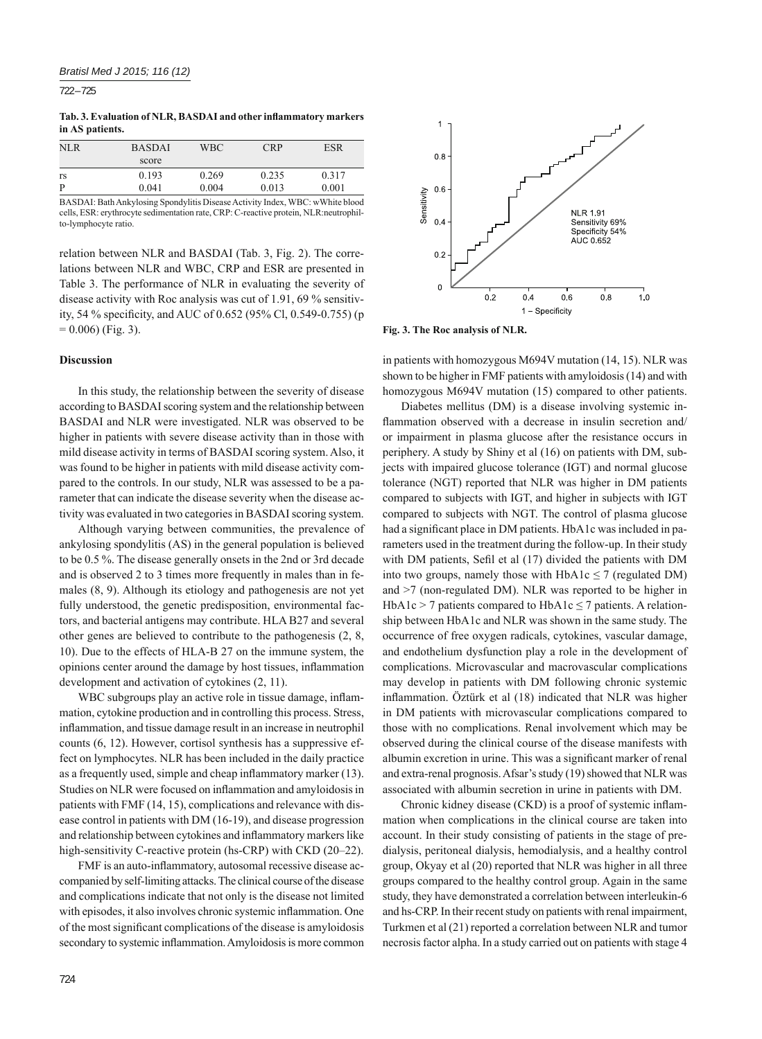722 – 725

Tab. 3. Evaluation of NLR, BASDAI and other inflammatory markers **in AS patients.**

| NLR. | <b>BASDAI</b> | WBC.  | <b>CRP</b> | ESR   |
|------|---------------|-------|------------|-------|
|      | score         |       |            |       |
| rs   | 0.193         | 0.269 | 0.235      | 0.317 |
| P    | 0.041         | 0.004 | 0.013      | 0.001 |

BASDAI: Bath Ankylosing Spondylitis Disease Activity Index, WBC: wWhite blood cells, ESR: erythrocyte sedimentation rate, CRP: C-reactive protein, NLR:neutrophilto-lymphocyte ratio.

relation between NLR and BASDAI (Tab. 3, Fig. 2). The correlations between NLR and WBC, CRP and ESR are presented in Table 3. The performance of NLR in evaluating the severity of disease activity with Roc analysis was cut of 1.91, 69 % sensitivity, 54 % specificity, and AUC of 0.652 (95% Cl, 0.549-0.755) (p  $= 0.006$ ) (Fig. 3).

### **Discussion**

In this study, the relationship between the severity of disease according to BASDAI scoring system and the relationship between BASDAI and NLR were investigated. NLR was observed to be higher in patients with severe disease activity than in those with mild disease activity in terms of BASDAI scoring system. Also, it was found to be higher in patients with mild disease activity compared to the controls. In our study, NLR was assessed to be a parameter that can indicate the disease severity when the disease activity was evaluated in two categories in BASDAI scoring system.

Although varying between communities, the prevalence of ankylosing spondylitis (AS) in the general population is believed to be 0.5 %. The disease generally onsets in the 2nd or 3rd decade and is observed 2 to 3 times more frequently in males than in females (8, 9). Although its etiology and pathogenesis are not yet fully understood, the genetic predisposition, environmental factors, and bacterial antigens may contribute. HLA B27 and several other genes are believed to contribute to the pathogenesis (2, 8, 10). Due to the effects of HLA-B 27 on the immune system, the opinions center around the damage by host tissues, inflammation development and activation of cytokines (2, 11).

WBC subgroups play an active role in tissue damage, inflammation, cytokine production and in controlling this process. Stress, inflammation, and tissue damage result in an increase in neutrophil counts (6, 12). However, cortisol synthesis has a suppressive effect on lymphocytes. NLR has been included in the daily practice as a frequently used, simple and cheap inflammatory marker (13). Studies on NLR were focused on inflammation and amyloidosis in patients with FMF (14, 15), complications and relevance with disease control in patients with DM (16-19), and disease progression and relationship between cytokines and inflammatory markers like high-sensitivity C-reactive protein (hs-CRP) with CKD (20–22).

FMF is an auto-inflammatory, autosomal recessive disease accompanied by self-limiting attacks. The clinical course of the disease and complications indicate that not only is the disease not limited with episodes, it also involves chronic systemic inflammation. One of the most significant complications of the disease is amyloidosis secondary to systemic inflammation. Amyloidosis is more common



**Fig. 3. The Roc analysis of NLR.**

in patients with homozygous M694V mutation (14, 15). NLR was shown to be higher in FMF patients with amyloidosis (14) and with homozygous M694V mutation (15) compared to other patients.

Diabetes mellitus (DM) is a disease involving systemic inflammation observed with a decrease in insulin secretion and/ or impairment in plasma glucose after the resistance occurs in periphery. A study by Shiny et al (16) on patients with DM, subjects with impaired glucose tolerance (IGT) and normal glucose tolerance (NGT) reported that NLR was higher in DM patients compared to subjects with IGT, and higher in subjects with IGT compared to subjects with NGT. The control of plasma glucose had a significant place in DM patients. HbA1c was included in parameters used in the treatment during the follow-up. In their study with DM patients, Sefil et al (17) divided the patients with DM into two groups, namely those with  $HbA1c \leq 7$  (regulated DM) and >7 (non-regulated DM). NLR was reported to be higher in HbA1c > 7 patients compared to HbA1c  $\leq$  7 patients. A relationship between HbA1c and NLR was shown in the same study. The occurrence of free oxygen radicals, cytokines, vascular damage, and endothelium dysfunction play a role in the development of complications. Microvascular and macrovascular complications may develop in patients with DM following chronic systemic inflammation. Öztürk et al (18) indicated that NLR was higher in DM patients with microvascular complications compared to those with no complications. Renal involvement which may be observed during the clinical course of the disease manifests with albumin excretion in urine. This was a significant marker of renal and extra-renal prognosis. Afsar's study (19) showed that NLR was associated with albumin secretion in urine in patients with DM.

Chronic kidney disease (CKD) is a proof of systemic inflammation when complications in the clinical course are taken into account. In their study consisting of patients in the stage of predialysis, peritoneal dialysis, hemodialysis, and a healthy control group, Okyay et al (20) reported that NLR was higher in all three groups compared to the healthy control group. Again in the same study, they have demonstrated a correlation between interleukin-6 and hs-CRP. In their recent study on patients with renal impairment, Turkmen et al (21) reported a correlation between NLR and tumor necrosis factor alpha. In a study carried out on patients with stage 4